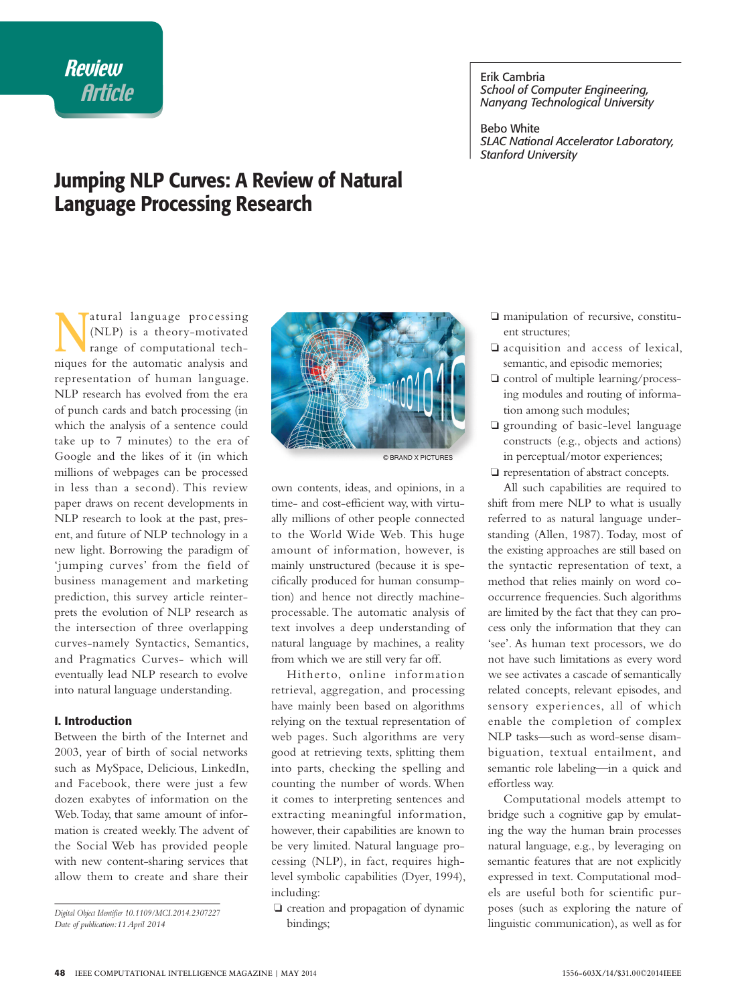# **Article Review**

### Erik Cambria *School of Computer Engineering, Nanyang Technological University*

Bebo White *SLAC National Accelerator Laboratory, Stanford University*

# Jumping NLP Curves: A Review of Natural Language Processing Research

N<sup>atu</sup> (N. atural language processing (NLP) is a theory-motivated range of computational techniques for the automatic analysis and representation of human language. NLP research has evolved from the era of punch cards and batch processing (in which the analysis of a sentence could take up to 7 minutes) to the era of Google and the likes of it (in which millions of webpages can be processed in less than a second). This review paper draws on recent developments in NLP research to look at the past, present, and future of NLP technology in a new light. Borrowing the paradigm of 'jumping curves' from the field of business management and marketing prediction, this survey article reinterprets the evolution of NLP research as the intersection of three overlapping curves-namely Syntactics, Semantics, and Pragmatics Curves- which will eventually lead NLP research to evolve into natural language understanding.

# I. Introduction

Between the birth of the Internet and 2003, year of birth of social networks such as MySpace, Delicious, LinkedIn, and Facebook, there were just a few dozen exabytes of information on the Web. Today, that same amount of information is created weekly. The advent of the Social Web has provided people with new content-sharing services that allow them to create and share their

*Digital Object Identifier 10.1109/MCI.2014.2307227 Date of publication:11 April 2014*



© BRAND X PICTURES

own contents, ideas, and opinions, in a time- and cost-efficient way, with virtually millions of other people connected to the World Wide Web. This huge amount of information, however, is mainly unstructured (because it is specifically produced for human consumption) and hence not directly machineprocessable. The automatic analysis of text involves a deep understanding of natural language by machines, a reality from which we are still very far off.

Hitherto, online information retrieval, aggregation, and processing have mainly been based on algorithms relying on the textual representation of web pages. Such algorithms are very good at retrieving texts, splitting them into parts, checking the spelling and counting the number of words. When it comes to interpreting sentences and extracting meaningful information, however, their capabilities are known to be very limited. Natural language processing (NLP), in fact, requires highlevel symbolic capabilities (Dyer, 1994), including:

❏ creation and propagation of dynamic bindings;

- ❏ manipulation of recursive, constituent structures;
- ❏ acquisition and access of lexical, semantic, and episodic memories;
- ❏ control of multiple learning/processing modules and routing of information among such modules;
- ❏ grounding of basic-level language constructs (e.g., objects and actions) in perceptual/motor experiences;
- ❏ representation of abstract concepts.

All such capabilities are required to shift from mere NLP to what is usually referred to as natural language understanding (Allen, 1987). Today, most of the existing approaches are still based on the syntactic representation of text, a method that relies mainly on word cooccurrence frequencies. Such algorithms are limited by the fact that they can process only the information that they can 'see'. As human text processors, we do not have such limitations as every word we see activates a cascade of semantically related concepts, relevant episodes, and sensory experiences, all of which enable the completion of complex NLP tasks—such as word-sense disambiguation, textual entailment, and semantic role labeling—in a quick and effortless way.

Computational models attempt to bridge such a cognitive gap by emulating the way the human brain processes natural language, e.g., by leveraging on semantic features that are not explicitly expressed in text. Computational models are useful both for scientific purposes (such as exploring the nature of linguistic communication), as well as for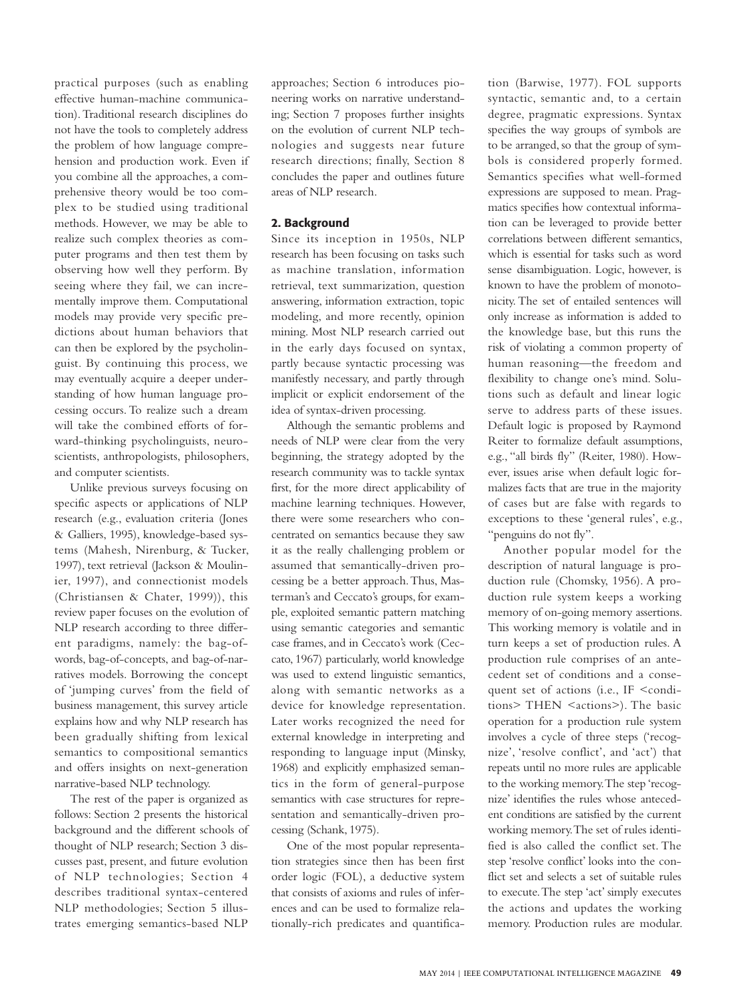practical purposes (such as enabling effective human-machine communication). Traditional research disciplines do not have the tools to completely address the problem of how language comprehension and production work. Even if you combine all the approaches, a comprehensive theory would be too complex to be studied using traditional methods. However, we may be able to realize such complex theories as computer programs and then test them by observing how well they perform. By seeing where they fail, we can incrementally improve them. Computational models may provide very specific predictions about human behaviors that can then be explored by the psycholinguist. By continuing this process, we may eventually acquire a deeper understanding of how human language processing occurs. To realize such a dream will take the combined efforts of forward-thinking psycholinguists, neuroscientists, anthropologists, philosophers, and computer scientists.

Unlike previous surveys focusing on specific aspects or applications of NLP research (e.g., evaluation criteria (Jones & Galliers, 1995), knowledge-based systems (Mahesh, Nirenburg, & Tucker, 1997), text retrieval (Jackson & Moulinier, 1997), and connectionist models (Christiansen & Chater, 1999)), this review paper focuses on the evolution of NLP research according to three different paradigms, namely: the bag-ofwords, bag-of-concepts, and bag-of-narratives models. Borrowing the concept of 'jumping curves' from the field of business management, this survey article explains how and why NLP research has been gradually shifting from lexical semantics to compositional semantics and offers insights on next-generation narrative-based NLP technology.

The rest of the paper is organized as follows: Section 2 presents the historical background and the different schools of thought of NLP research; Section 3 discusses past, present, and future evolution of NLP technologies; Section 4 describes traditional syntax-centered NLP methodologies; Section 5 illustrates emerging semantics-based NLP approaches; Section 6 introduces pioneering works on narrative understanding; Section 7 proposes further insights on the evolution of current NLP technologies and suggests near future research directions; finally, Section 8 concludes the paper and outlines future areas of NLP research.

# 2. Background

Since its inception in 1950s, NLP research has been focusing on tasks such as machine translation, information retrieval, text summarization, question answering, information extraction, topic modeling, and more recently, opinion mining. Most NLP research carried out in the early days focused on syntax, partly because syntactic processing was manifestly necessary, and partly through implicit or explicit endorsement of the idea of syntax-driven processing.

Although the semantic problems and needs of NLP were clear from the very beginning, the strategy adopted by the research community was to tackle syntax first, for the more direct applicability of machine learning techniques. However, there were some researchers who concentrated on semantics because they saw it as the really challenging problem or assumed that semantically-driven processing be a better approach. Thus, Masterman's and Ceccato's groups, for example, exploited semantic pattern matching using semantic categories and semantic case frames, and in Ceccato's work (Ceccato, 1967) particularly, world knowledge was used to extend linguistic semantics, along with semantic networks as a device for knowledge representation. Later works recognized the need for external knowledge in interpreting and responding to language input (Minsky, 1968) and explicitly emphasized semantics in the form of general-purpose semantics with case structures for representation and semantically-driven processing (Schank, 1975).

One of the most popular representation strategies since then has been first order logic (FOL), a deductive system that consists of axioms and rules of inferences and can be used to formalize relationally-rich predicates and quantification (Barwise, 1977). FOL supports syntactic, semantic and, to a certain degree, pragmatic expressions. Syntax specifies the way groups of symbols are to be arranged, so that the group of symbols is considered properly formed. Semantics specifies what well-formed expressions are supposed to mean. Pragmatics specifies how contextual information can be leveraged to provide better correlations between different semantics, which is essential for tasks such as word sense disambiguation. Logic, however, is known to have the problem of monotonicity. The set of entailed sentences will only increase as information is added to the knowledge base, but this runs the risk of violating a common property of human reasoning—the freedom and flexibility to change one's mind. Solutions such as default and linear logic serve to address parts of these issues. Default logic is proposed by Raymond Reiter to formalize default assumptions, e.g., "all birds fly" (Reiter, 1980). However, issues arise when default logic formalizes facts that are true in the majority of cases but are false with regards to exceptions to these 'general rules', e.g., "penguins do not fly".

Another popular model for the description of natural language is production rule (Chomsky, 1956). A production rule system keeps a working memory of on-going memory assertions. This working memory is volatile and in turn keeps a set of production rules. A production rule comprises of an antecedent set of conditions and a consequent set of actions (i.e., IF <conditions> THEN <actions>). The basic operation for a production rule system involves a cycle of three steps ('recognize', 'resolve conflict', and 'act') that repeats until no more rules are applicable to the working memory. The step 'recognize' identifies the rules whose antecedent conditions are satisfied by the current working memory. The set of rules identified is also called the conflict set. The step 'resolve conflict' looks into the conflict set and selects a set of suitable rules to execute. The step 'act' simply executes the actions and updates the working memory. Production rules are modular.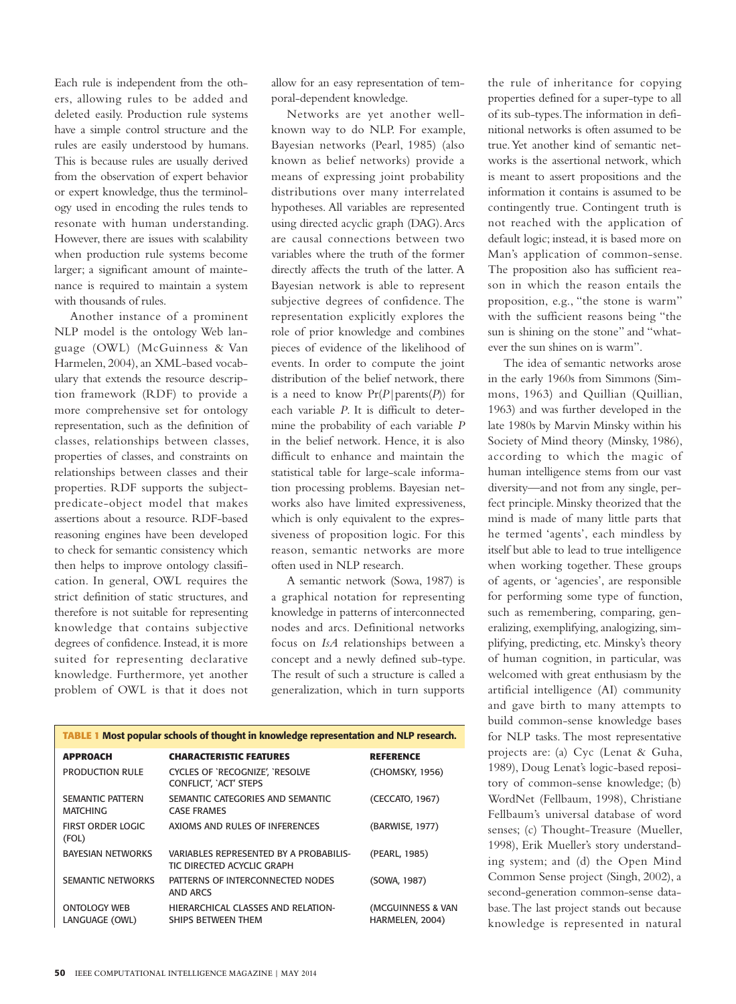Each rule is independent from the others, allowing rules to be added and deleted easily. Production rule systems have a simple control structure and the rules are easily understood by humans. This is because rules are usually derived from the observation of expert behavior or expert knowledge, thus the terminology used in encoding the rules tends to resonate with human understanding. However, there are issues with scalability when production rule systems become larger; a significant amount of maintenance is required to maintain a system with thousands of rules.

Another instance of a prominent NLP model is the ontology Web language (OWL) (McGuinness & Van Harmelen, 2004), an XML-based vocabulary that extends the resource description framework (RDF) to provide a more comprehensive set for ontology representation, such as the definition of classes, relationships between classes, properties of classes, and constraints on relationships between classes and their properties. RDF supports the subjectpredicate-object model that makes assertions about a resource. RDF-based reasoning engines have been developed to check for semantic consistency which then helps to improve ontology classification. In general, OWL requires the strict definition of static structures, and therefore is not suitable for representing knowledge that contains subjective degrees of confidence. Instead, it is more suited for representing declarative knowledge. Furthermore, yet another problem of OWL is that it does not allow for an easy representation of temporal-dependent knowledge.

Networks are yet another wellknown way to do NLP. For example, Bayesian networks (Pearl, 1985) (also known as belief networks) provide a means of expressing joint probability distributions over many interrelated hypotheses. All variables are represented using directed acyclic graph (DAG). Arcs are causal connections between two variables where the truth of the former directly affects the truth of the latter. A Bayesian network is able to represent subjective degrees of confidence. The representation explicitly explores the role of prior knowledge and combines pieces of evidence of the likelihood of events. In order to compute the joint distribution of the belief network, there is a need to know Pr(*P*|parents(*P*)) for each variable *P*. It is difficult to determine the probability of each variable *P* in the belief network. Hence, it is also difficult to enhance and maintain the statistical table for large-scale information processing problems. Bayesian networks also have limited expressiveness, which is only equivalent to the expressiveness of proposition logic. For this reason, semantic networks are more often used in NLP research.

A semantic network (Sowa, 1987) is a graphical notation for representing knowledge in patterns of interconnected nodes and arcs. Definitional networks focus on *IsA* relationships between a concept and a newly defined sub-type. The result of such a structure is called a generalization, which in turn supports

| <b>TABLE 1 Most popular schools of thought in knowledge representation and NLP research.</b> |                                                                      |                                      |
|----------------------------------------------------------------------------------------------|----------------------------------------------------------------------|--------------------------------------|
| <b>APPROACH</b>                                                                              | <b>CHARACTERISTIC FEATURES</b>                                       | <b>REFERENCE</b>                     |
| <b>PRODUCTION RULE</b>                                                                       | CYCLES OF 'RECOGNIZE', 'RESOLVE<br>CONFLICT', 'ACT' STEPS            | (CHOMSKY, 1956)                      |
| <b>SEMANTIC PATTERN</b><br><b>MATCHING</b>                                                   | SEMANTIC CATEGORIES AND SEMANTIC<br><b>CASE FRAMES</b>               | (CECCATO, 1967)                      |
| <b>FIRST ORDER LOGIC</b><br>(FOL)                                                            | AXIOMS AND RULES OF INFERENCES                                       | (BARWISE, 1977)                      |
| <b>BAYESIAN NETWORKS</b>                                                                     | VARIABLES REPRESENTED BY A PROBABILIS-<br>TIC DIRECTED ACYCLIC GRAPH | (PEARL, 1985)                        |
| <b>SEMANTIC NETWORKS</b>                                                                     | PATTERNS OF INTERCONNECTED NODES<br><b>AND ARCS</b>                  | (SOWA, 1987)                         |
| <b>ONTOLOGY WEB</b><br>LANGUAGE (OWL)                                                        | HIERARCHICAL CLASSES AND RELATION-<br>SHIPS BETWEEN THEM             | (MCGUINNESS & VAN<br>HARMELEN, 2004) |

the rule of inheritance for copying properties defined for a super-type to all of its sub-types. The information in definitional networks is often assumed to be true. Yet another kind of semantic networks is the assertional network, which is meant to assert propositions and the information it contains is assumed to be contingently true. Contingent truth is not reached with the application of default logic; instead, it is based more on Man's application of common-sense. The proposition also has sufficient reason in which the reason entails the proposition, e.g., "the stone is warm" with the sufficient reasons being "the sun is shining on the stone" and "whatever the sun shines on is warm".

The idea of semantic networks arose in the early 1960s from Simmons (Simmons, 1963) and Quillian (Quillian, 1963) and was further developed in the late 1980s by Marvin Minsky within his Society of Mind theory (Minsky, 1986), according to which the magic of human intelligence stems from our vast diversity—and not from any single, perfect principle. Minsky theorized that the mind is made of many little parts that he termed 'agents', each mindless by itself but able to lead to true intelligence when working together. These groups of agents, or 'agencies', are responsible for performing some type of function, such as remembering, comparing, generalizing, exemplifying, analogizing, simplifying, predicting, etc. Minsky's theory of human cognition, in particular, was welcomed with great enthusiasm by the artificial intelligence (AI) community and gave birth to many attempts to build common-sense knowledge bases for NLP tasks. The most representative projects are: (a) Cyc (Lenat & Guha, 1989), Doug Lenat's logic-based repository of common-sense knowledge; (b) WordNet (Fellbaum, 1998), Christiane Fellbaum's universal database of word senses; (c) Thought-Treasure (Mueller, 1998), Erik Mueller's story understanding system; and (d) the Open Mind Common Sense project (Singh, 2002), a second-generation common-sense database. The last project stands out because knowledge is represented in natural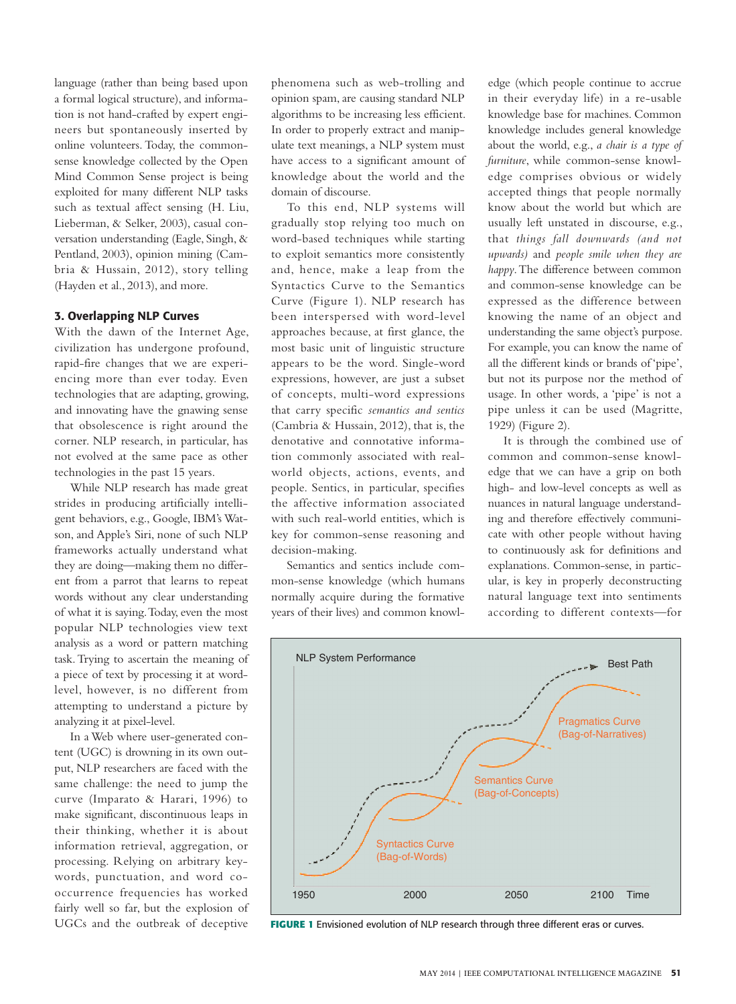language (rather than being based upon a formal logical structure), and information is not hand-crafted by expert engineers but spontaneously inserted by online volunteers. Today, the commonsense knowledge collected by the Open Mind Common Sense project is being exploited for many different NLP tasks such as textual affect sensing (H. Liu, Lieberman, & Selker, 2003), casual conversation understanding (Eagle, Singh, & Pentland, 2003), opinion mining (Cambria & Hussain, 2012), story telling (Hayden et al., 2013), and more.

# 3. Overlapping NLP Curves

With the dawn of the Internet Age, civilization has undergone profound, rapid-fire changes that we are experiencing more than ever today. Even technologies that are adapting, growing, and innovating have the gnawing sense that obsolescence is right around the corner. NLP research, in particular, has not evolved at the same pace as other technologies in the past 15 years.

While NLP research has made great strides in producing artificially intelligent behaviors, e.g., Google, IBM's Watson, and Apple's Siri, none of such NLP frameworks actually understand what they are doing—making them no different from a parrot that learns to repeat words without any clear understanding of what it is saying. Today, even the most popular NLP technologies view text analysis as a word or pattern matching task. Trying to ascertain the meaning of a piece of text by processing it at wordlevel, however, is no different from attempting to understand a picture by analyzing it at pixel-level.

In a Web where user-generated content (UGC) is drowning in its own output, NLP researchers are faced with the same challenge: the need to jump the curve (Imparato & Harari, 1996) to make significant, discontinuous leaps in their thinking, whether it is about information retrieval, aggregation, or processing. Relying on arbitrary keywords, punctuation, and word cooccurrence frequencies has worked fairly well so far, but the explosion of UGCs and the outbreak of deceptive phenomena such as web-trolling and opinion spam, are causing standard NLP algorithms to be increasing less efficient. In order to properly extract and manipulate text meanings, a NLP system must have access to a significant amount of knowledge about the world and the domain of discourse.

To this end, NLP systems will gradually stop relying too much on word-based techniques while starting to exploit semantics more consistently and, hence, make a leap from the Syntactics Curve to the Semantics Curve (Figure 1). NLP research has been interspersed with word-level approaches because, at first glance, the most basic unit of linguistic structure appears to be the word. Single-word expressions, however, are just a subset of concepts, multi-word expressions that carry specific *semantics and sentics* (Cambria & Hussain, 2012), that is, the denotative and connotative information commonly associated with realworld objects, actions, events, and people. Sentics, in particular, specifies the affective information associated with such real-world entities, which is key for common-sense reasoning and decision-making.

Semantics and sentics include common-sense knowledge (which humans normally acquire during the formative years of their lives) and common knowl-

edge (which people continue to accrue in their everyday life) in a re-usable knowledge base for machines. Common knowledge includes general knowledge about the world, e.g., *a chair is a type of furniture*, while common-sense knowledge comprises obvious or widely accepted things that people normally know about the world but which are usually left unstated in discourse, e.g., that *things fall downwards (and not upwards)* and *people smile when they are happy*. The difference between common and common-sense knowledge can be expressed as the difference between knowing the name of an object and understanding the same object's purpose. For example, you can know the name of all the different kinds or brands of 'pipe', but not its purpose nor the method of usage. In other words, a 'pipe' is not a pipe unless it can be used (Magritte, 1929) (Figure 2).

It is through the combined use of common and common-sense knowledge that we can have a grip on both high- and low-level concepts as well as nuances in natural language understanding and therefore effectively communicate with other people without having to continuously ask for definitions and explanations. Common-sense, in particular, is key in properly deconstructing natural language text into sentiments according to different contexts—for



**FIGURE 1** Envisioned evolution of NLP research through three different eras or curves.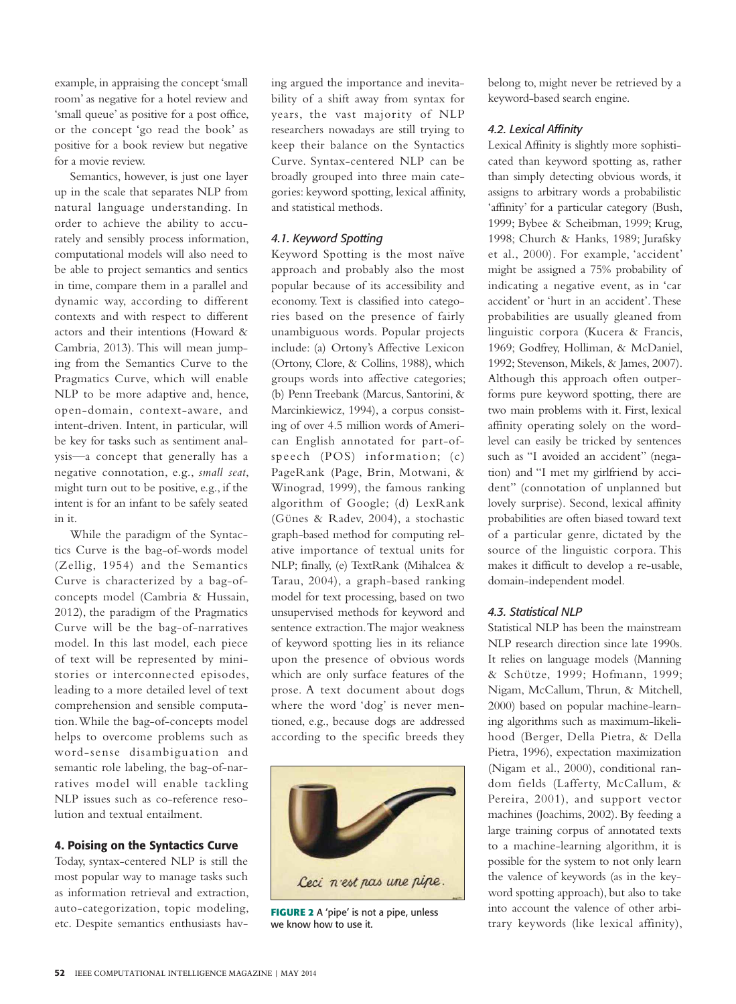example, in appraising the concept 'small room' as negative for a hotel review and 'small queue' as positive for a post office, or the concept 'go read the book' as positive for a book review but negative for a movie review.

Semantics, however, is just one layer up in the scale that separates NLP from natural language understanding. In order to achieve the ability to accurately and sensibly process information, computational models will also need to be able to project semantics and sentics in time, compare them in a parallel and dynamic way, according to different contexts and with respect to different actors and their intentions (Howard & Cambria, 2013). This will mean jumping from the Semantics Curve to the Pragmatics Curve, which will enable NLP to be more adaptive and, hence, open-domain, context-aware, and intent-driven. Intent, in particular, will be key for tasks such as sentiment analysis—a concept that generally has a negative connotation, e.g., *small seat*, might turn out to be positive, e.g., if the intent is for an infant to be safely seated in it.

While the paradigm of the Syntactics Curve is the bag-of-words model (Zellig, 1954) and the Semantics Curve is characterized by a bag-ofconcepts model (Cambria & Hussain, 2012), the paradigm of the Pragmatics Curve will be the bag-of-narratives model. In this last model, each piece of text will be represented by ministories or interconnected episodes, leading to a more detailed level of text comprehension and sensible computation. While the bag-of-concepts model helps to overcome problems such as word-sense disambiguation and semantic role labeling, the bag-of-narratives model will enable tackling NLP issues such as co-reference resolution and textual entailment.

# 4. Poising on the Syntactics Curve

Today, syntax-centered NLP is still the most popular way to manage tasks such as information retrieval and extraction, auto-categorization, topic modeling, etc. Despite semantics enthusiasts hav-

ing argued the importance and inevitability of a shift away from syntax for years, the vast majority of NLP researchers nowadays are still trying to keep their balance on the Syntactics Curve. Syntax-centered NLP can be broadly grouped into three main categories: keyword spotting, lexical affinity, and statistical methods.

# *4.1. Keyword Spotting*

Keyword Spotting is the most naïve approach and probably also the most popular because of its accessibility and economy. Text is classified into categories based on the presence of fairly unambiguous words. Popular projects include: (a) Ortony's Affective Lexicon (Ortony, Clore, & Collins, 1988), which groups words into affective categories; (b) Penn Treebank (Marcus, Santorini, & Marcinkiewicz, 1994), a corpus consisting of over 4.5 million words of American English annotated for part-ofspeech  $(POS)$  information;  $(c)$ PageRank (Page, Brin, Motwani, & Winograd, 1999), the famous ranking algorithm of Google; (d) LexRank (GÜnes & Radev, 2004), a stochastic graph-based method for computing relative importance of textual units for NLP; finally, (e) TextRank (Mihalcea & Tarau, 2004), a graph-based ranking model for text processing, based on two unsupervised methods for keyword and sentence extraction. The major weakness of keyword spotting lies in its reliance upon the presence of obvious words which are only surface features of the prose. A text document about dogs where the word 'dog' is never mentioned, e.g., because dogs are addressed according to the specific breeds they

**FIGURE 2** A 'pipe' is not a pipe, unless we know how to use it.

belong to, might never be retrieved by a keyword-based search engine.

#### *4.2. Lexical Affinity*

Lexical Affinity is slightly more sophisticated than keyword spotting as, rather than simply detecting obvious words, it assigns to arbitrary words a probabilistic 'affinity' for a particular category (Bush, 1999; Bybee & Scheibman, 1999; Krug, 1998; Church & Hanks, 1989; Jurafsky et al., 2000). For example, 'accident' might be assigned a 75% probability of indicating a negative event, as in 'car accident' or 'hurt in an accident'. These probabilities are usually gleaned from linguistic corpora (Kucera & Francis, 1969; Godfrey, Holliman, & McDaniel, 1992; Stevenson, Mikels, & James, 2007). Although this approach often outperforms pure keyword spotting, there are two main problems with it. First, lexical affinity operating solely on the wordlevel can easily be tricked by sentences such as "I avoided an accident" (negation) and "I met my girlfriend by accident" (connotation of unplanned but lovely surprise). Second, lexical affinity probabilities are often biased toward text of a particular genre, dictated by the source of the linguistic corpora. This makes it difficult to develop a re-usable, domain-independent model.

#### *4.3. Statistical NLP*

Statistical NLP has been the mainstream NLP research direction since late 1990s. It relies on language models (Manning & SchÜtze, 1999; Hofmann, 1999; Nigam, McCallum, Thrun, & Mitchell, 2000) based on popular machine-learning algorithms such as maximum-likelihood (Berger, Della Pietra, & Della Pietra, 1996), expectation maximization (Nigam et al., 2000), conditional random fields (Lafferty, McCallum, & Pereira, 2001), and support vector machines (Joachims, 2002). By feeding a large training corpus of annotated texts to a machine-learning algorithm, it is possible for the system to not only learn the valence of keywords (as in the keyword spotting approach), but also to take into account the valence of other arbitrary keywords (like lexical affinity),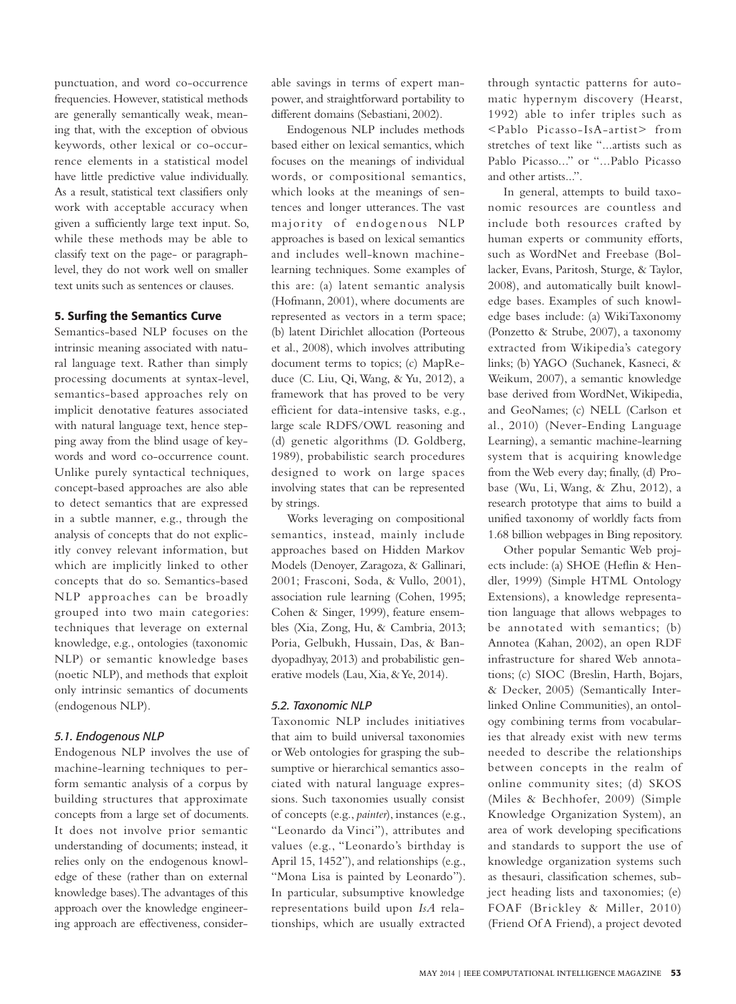punctuation, and word co-occurrence frequencies. However, statistical methods are generally semantically weak, meaning that, with the exception of obvious keywords, other lexical or co-occurrence elements in a statistical model have little predictive value individually. As a result, statistical text classifiers only work with acceptable accuracy when given a sufficiently large text input. So, while these methods may be able to classify text on the page- or paragraphlevel, they do not work well on smaller text units such as sentences or clauses.

# 5. Surfing the Semantics Curve

Semantics-based NLP focuses on the intrinsic meaning associated with natural language text. Rather than simply processing documents at syntax-level, semantics-based approaches rely on implicit denotative features associated with natural language text, hence stepping away from the blind usage of keywords and word co-occurrence count. Unlike purely syntactical techniques, concept-based approaches are also able to detect semantics that are expressed in a subtle manner, e.g., through the analysis of concepts that do not explicitly convey relevant information, but which are implicitly linked to other concepts that do so. Semantics-based NLP approaches can be broadly grouped into two main categories: techniques that leverage on external knowledge, e.g., ontologies (taxonomic NLP) or semantic knowledge bases (noetic NLP), and methods that exploit only intrinsic semantics of documents (endogenous NLP).

#### *5.1. Endogenous NLP*

Endogenous NLP involves the use of machine-learning techniques to perform semantic analysis of a corpus by building structures that approximate concepts from a large set of documents. It does not involve prior semantic understanding of documents; instead, it relies only on the endogenous knowledge of these (rather than on external knowledge bases). The advantages of this approach over the knowledge engineering approach are effectiveness, considerable savings in terms of expert manpower, and straightforward portability to different domains (Sebastiani, 2002).

Endogenous NLP includes methods based either on lexical semantics, which focuses on the meanings of individual words, or compositional semantics, which looks at the meanings of sentences and longer utterances. The vast majority of endogenous NLP approaches is based on lexical semantics and includes well-known machinelearning techniques. Some examples of this are: (a) latent semantic analysis (Hofmann, 2001), where documents are represented as vectors in a term space; (b) latent Dirichlet allocation (Porteous et al., 2008), which involves attributing document terms to topics; (c) MapReduce (C. Liu, Qi, Wang, & Yu, 2012), a framework that has proved to be very efficient for data-intensive tasks, e.g., large scale RDFS/OWL reasoning and (d) genetic algorithms (D. Goldberg, 1989), probabilistic search procedures designed to work on large spaces involving states that can be represented by strings.

Works leveraging on compositional semantics, instead, mainly include approaches based on Hidden Markov Models (Denoyer, Zaragoza, & Gallinari, 2001; Frasconi, Soda, & Vullo, 2001), association rule learning (Cohen, 1995; Cohen & Singer, 1999), feature ensembles (Xia, Zong, Hu, & Cambria, 2013; Poria, Gelbukh, Hussain, Das, & Bandyopadhyay, 2013) and probabilistic generative models (Lau, Xia, & Ye, 2014).

### *5.2. Taxonomic NLP*

Taxonomic NLP includes initiatives that aim to build universal taxonomies or Web ontologies for grasping the subsumptive or hierarchical semantics associated with natural language expressions. Such taxonomies usually consist of concepts (e.g., *painter*), instances (e.g., "Leonardo da Vinci"), attributes and values (e.g., "Leonardo's birthday is April 15, 1452"), and relationships (e.g., "Mona Lisa is painted by Leonardo"). In particular, subsumptive knowledge representations build upon *IsA* relationships, which are usually extracted

through syntactic patterns for automatic hypernym discovery (Hearst, 1992) able to infer triples such as <Pablo Picasso-IsA-artist> from stretches of text like "...artists such as Pablo Picasso..." or "...Pablo Picasso and other artists...".

In general, attempts to build taxonomic resources are countless and include both resources crafted by human experts or community efforts, such as WordNet and Freebase (Bollacker, Evans, Paritosh, Sturge, & Taylor, 2008), and automatically built knowledge bases. Examples of such knowledge bases include: (a) WikiTaxonomy (Ponzetto & Strube, 2007), a taxonomy extracted from Wikipedia's category links; (b) YAGO (Suchanek, Kasneci, & Weikum, 2007), a semantic knowledge base derived from WordNet, Wikipedia, and GeoNames; (c) NELL (Carlson et al., 2010) (Never-Ending Language Learning), a semantic machine-learning system that is acquiring knowledge from the Web every day; finally, (d) Probase (Wu, Li, Wang, & Zhu, 2012), a research prototype that aims to build a unified taxonomy of worldly facts from 1.68 billion webpages in Bing repository.

Other popular Semantic Web projects include: (a) SHOE (Heflin & Hendler, 1999) (Simple HTML Ontology Extensions), a knowledge representation language that allows webpages to be annotated with semantics; (b) Annotea (Kahan, 2002), an open RDF infrastructure for shared Web annotations; (c) SIOC (Breslin, Harth, Bojars, & Decker, 2005) (Semantically Interlinked Online Communities), an ontology combining terms from vocabularies that already exist with new terms needed to describe the relationships between concepts in the realm of online community sites; (d) SKOS (Miles & Bechhofer, 2009) (Simple Knowledge Organization System), an area of work developing specifications and standards to support the use of knowledge organization systems such as thesauri, classification schemes, subject heading lists and taxonomies; (e) FOAF (Brickley & Miller, 2010) (Friend Of A Friend), a project devoted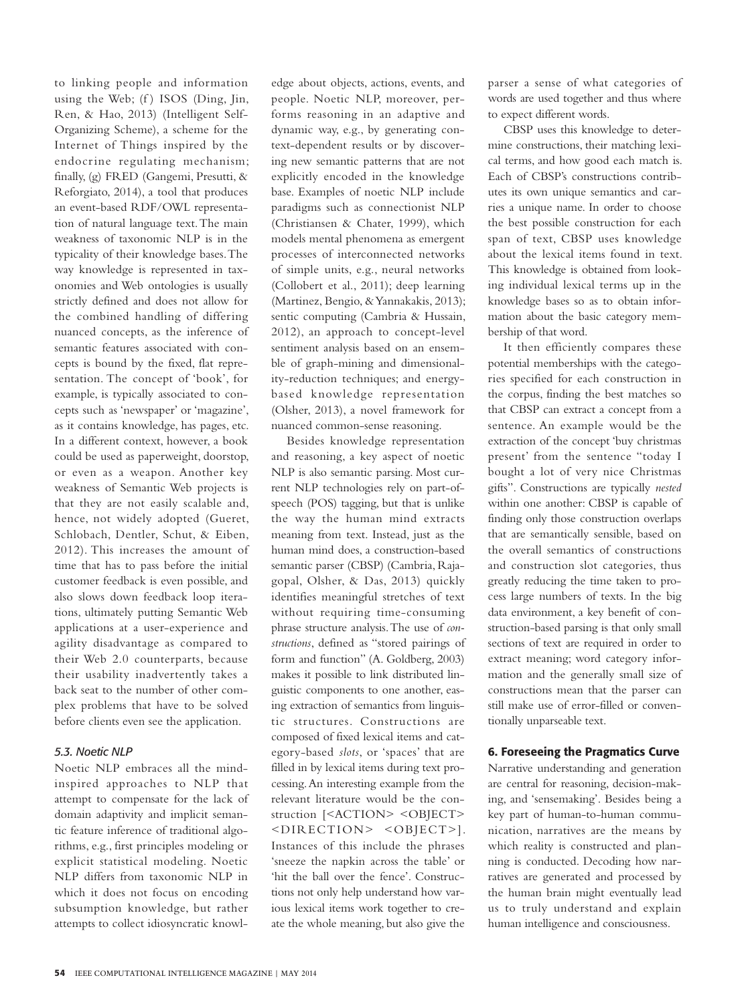to linking people and information using the Web;  $(f)$  ISOS (Ding, Jin, Ren, & Hao, 2013) (Intelligent Self-Organizing Scheme), a scheme for the Internet of Things inspired by the endocrine regulating mechanism; finally, (g) FRED (Gangemi, Presutti, & Reforgiato, 2014), a tool that produces an event-based RDF/OWL representation of natural language text. The main weakness of taxonomic NLP is in the typicality of their knowledge bases. The way knowledge is represented in taxonomies and Web ontologies is usually strictly defined and does not allow for the combined handling of differing nuanced concepts, as the inference of semantic features associated with concepts is bound by the fixed, flat representation. The concept of 'book', for example, is typically associated to concepts such as 'newspaper' or 'magazine', as it contains knowledge, has pages, etc. In a different context, however, a book could be used as paperweight, doorstop, or even as a weapon. Another key weakness of Semantic Web projects is that they are not easily scalable and, hence, not widely adopted (Gueret, Schlobach, Dentler, Schut, & Eiben, 2012). This increases the amount of time that has to pass before the initial customer feedback is even possible, and also slows down feedback loop iterations, ultimately putting Semantic Web applications at a user-experience and agility disadvantage as compared to their Web 2.0 counterparts, because their usability inadvertently takes a back seat to the number of other complex problems that have to be solved before clients even see the application.

# *5.3. Noetic NLP*

Noetic NLP embraces all the mindinspired approaches to NLP that attempt to compensate for the lack of domain adaptivity and implicit semantic feature inference of traditional algorithms, e.g., first principles modeling or explicit statistical modeling. Noetic NLP differs from taxonomic NLP in which it does not focus on encoding subsumption knowledge, but rather attempts to collect idiosyncratic knowledge about objects, actions, events, and people. Noetic NLP, moreover, performs reasoning in an adaptive and dynamic way, e.g., by generating context-dependent results or by discovering new semantic patterns that are not explicitly encoded in the knowledge base. Examples of noetic NLP include paradigms such as connectionist NLP (Christiansen & Chater, 1999), which models mental phenomena as emergent processes of interconnected networks of simple units, e.g., neural networks (Collobert et al., 2011); deep learning (Martinez, Bengio, & Yannakakis, 2013); sentic computing (Cambria & Hussain, 2012), an approach to concept-level sentiment analysis based on an ensemble of graph-mining and dimensionality-reduction techniques; and energybased knowledge representation (Olsher, 2013), a novel framework for nuanced common-sense reasoning.

Besides knowledge representation and reasoning, a key aspect of noetic NLP is also semantic parsing. Most current NLP technologies rely on part-ofspeech (POS) tagging, but that is unlike the way the human mind extracts meaning from text. Instead, just as the human mind does, a construction-based semantic parser (CBSP) (Cambria, Rajagopal, Olsher, & Das, 2013) quickly identifies meaningful stretches of text without requiring time-consuming phrase structure analysis. The use of *constructions*, defined as "stored pairings of form and function" (A. Goldberg, 2003) makes it possible to link distributed linguistic components to one another, easing extraction of semantics from linguistic structures. Constructions are composed of fixed lexical items and category-based *slots*, or 'spaces' that are filled in by lexical items during text processing. An interesting example from the relevant literature would be the construction [<ACTION> <OBJECT> <DIRECTION> <OBJECT>]. Instances of this include the phrases 'sneeze the napkin across the table' or 'hit the ball over the fence'. Constructions not only help understand how various lexical items work together to create the whole meaning, but also give the

parser a sense of what categories of words are used together and thus where to expect different words.

CBSP uses this knowledge to determine constructions, their matching lexical terms, and how good each match is. Each of CBSP's constructions contributes its own unique semantics and carries a unique name. In order to choose the best possible construction for each span of text, CBSP uses knowledge about the lexical items found in text. This knowledge is obtained from looking individual lexical terms up in the knowledge bases so as to obtain information about the basic category membership of that word.

It then efficiently compares these potential memberships with the categories specified for each construction in the corpus, finding the best matches so that CBSP can extract a concept from a sentence. An example would be the extraction of the concept 'buy christmas present' from the sentence "today I bought a lot of very nice Christmas gifts". Constructions are typically *nested* within one another: CBSP is capable of finding only those construction overlaps that are semantically sensible, based on the overall semantics of constructions and construction slot categories, thus greatly reducing the time taken to process large numbers of texts. In the big data environment, a key benefit of construction-based parsing is that only small sections of text are required in order to extract meaning; word category information and the generally small size of constructions mean that the parser can still make use of error-filled or conventionally unparseable text.

# 6. Foreseeing the Pragmatics Curve

Narrative understanding and generation are central for reasoning, decision-making, and 'sensemaking'. Besides being a key part of human-to-human communication, narratives are the means by which reality is constructed and planning is conducted. Decoding how narratives are generated and processed by the human brain might eventually lead us to truly understand and explain human intelligence and consciousness.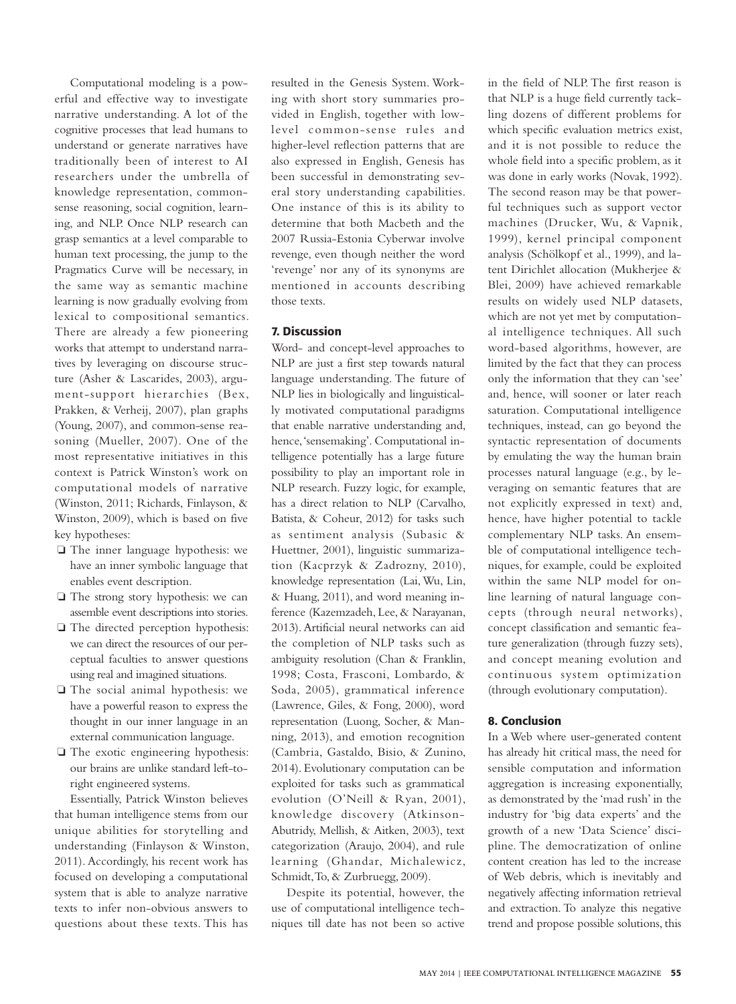Computational modeling is a powerful and effective way to investigate narrative understanding. A lot of the cognitive processes that lead humans to understand or generate narratives have traditionally been of interest to AI researchers under the umbrella of knowledge representation, commonsense reasoning, social cognition, learning, and NLP. Once NLP research can grasp semantics at a level comparable to human text processing, the jump to the Pragmatics Curve will be necessary, in the same way as semantic machine learning is now gradually evolving from lexical to compositional semantics. There are already a few pioneering works that attempt to understand narratives by leveraging on discourse structure (Asher & Lascarides, 2003), argument-support hierarchies (Bex, Prakken, & Verheij, 2007), plan graphs (Young, 2007), and common-sense reasoning (Mueller, 2007). One of the most representative initiatives in this context is Patrick Winston's work on computational models of narrative (Winston, 2011; Richards, Finlayson, & Winston, 2009), which is based on five key hypotheses:

- ❏ The inner language hypothesis: we have an inner symbolic language that enables event description.
- ❏ The strong story hypothesis: we can assemble event descriptions into stories.
- ❏ The directed perception hypothesis: we can direct the resources of our perceptual faculties to answer questions using real and imagined situations.
- ❏ The social animal hypothesis: we have a powerful reason to express the thought in our inner language in an external communication language.
- ❏ The exotic engineering hypothesis: our brains are unlike standard left-toright engineered systems.

Essentially, Patrick Winston believes that human intelligence stems from our unique abilities for storytelling and understanding (Finlayson & Winston, 2011). Accordingly, his recent work has focused on developing a computational system that is able to analyze narrative texts to infer non-obvious answers to questions about these texts. This has

resulted in the Genesis System. Working with short story summaries provided in English, together with lowlevel common-sense rules and higher-level reflection patterns that are also expressed in English, Genesis has been successful in demonstrating several story understanding capabilities. One instance of this is its ability to determine that both Macbeth and the 2007 Russia-Estonia Cyberwar involve revenge, even though neither the word 'revenge' nor any of its synonyms are mentioned in accounts describing those texts.

# 7. Discussion

Word- and concept-level approaches to NLP are just a first step towards natural language understanding. The future of NLP lies in biologically and linguistically motivated computational paradigms that enable narrative understanding and, hence, 'sensemaking'. Computational intelligence potentially has a large future possibility to play an important role in NLP research. Fuzzy logic, for example, has a direct relation to NLP (Carvalho, Batista, & Coheur, 2012) for tasks such as sentiment analysis (Subasic & Huettner, 2001), linguistic summarization (Kacprzyk & Zadrozny, 2010), knowledge representation (Lai, Wu, Lin, & Huang, 2011), and word meaning inference (Kazemzadeh, Lee, & Narayanan, 2013). Artificial neural networks can aid the completion of NLP tasks such as ambiguity resolution (Chan & Franklin, 1998; Costa, Frasconi, Lombardo, & Soda, 2005), grammatical inference (Lawrence, Giles, & Fong, 2000), word representation (Luong, Socher, & Manning, 2013), and emotion recognition (Cambria, Gastaldo, Bisio, & Zunino, 2014). Evolutionary computation can be exploited for tasks such as grammatical evolution (O'Neill & Ryan, 2001), knowledge discovery (Atkinson-Abutridy, Mellish, & Aitken, 2003), text categorization (Araujo, 2004), and rule learning (Ghandar, Michalewicz, Schmidt, To, & Zurbruegg, 2009).

Despite its potential, however, the use of computational intelligence techniques till date has not been so active

in the field of NLP. The first reason is that NLP is a huge field currently tackling dozens of different problems for which specific evaluation metrics exist, and it is not possible to reduce the whole field into a specific problem, as it was done in early works (Novak, 1992). The second reason may be that powerful techniques such as support vector machines (Drucker, Wu, & Vapnik, 1999), kernel principal component analysis (Schölkopf et al., 1999), and latent Dirichlet allocation (Mukherjee & Blei, 2009) have achieved remarkable results on widely used NLP datasets, which are not yet met by computational intelligence techniques. All such word-based algorithms, however, are limited by the fact that they can process only the information that they can 'see' and, hence, will sooner or later reach saturation. Computational intelligence techniques, instead, can go beyond the syntactic representation of documents by emulating the way the human brain processes natural language (e.g., by leveraging on semantic features that are not explicitly expressed in text) and, hence, have higher potential to tackle complementary NLP tasks. An ensemble of computational intelligence techniques, for example, could be exploited within the same NLP model for online learning of natural language concepts (through neural networks), concept classification and semantic feature generalization (through fuzzy sets), and concept meaning evolution and continuous system optimization (through evolutionary computation).

## 8. Conclusion

In a Web where user-generated content has already hit critical mass, the need for sensible computation and information aggregation is increasing exponentially, as demonstrated by the 'mad rush' in the industry for 'big data experts' and the growth of a new 'Data Science' discipline. The democratization of online content creation has led to the increase of Web debris, which is inevitably and negatively affecting information retrieval and extraction. To analyze this negative trend and propose possible solutions, this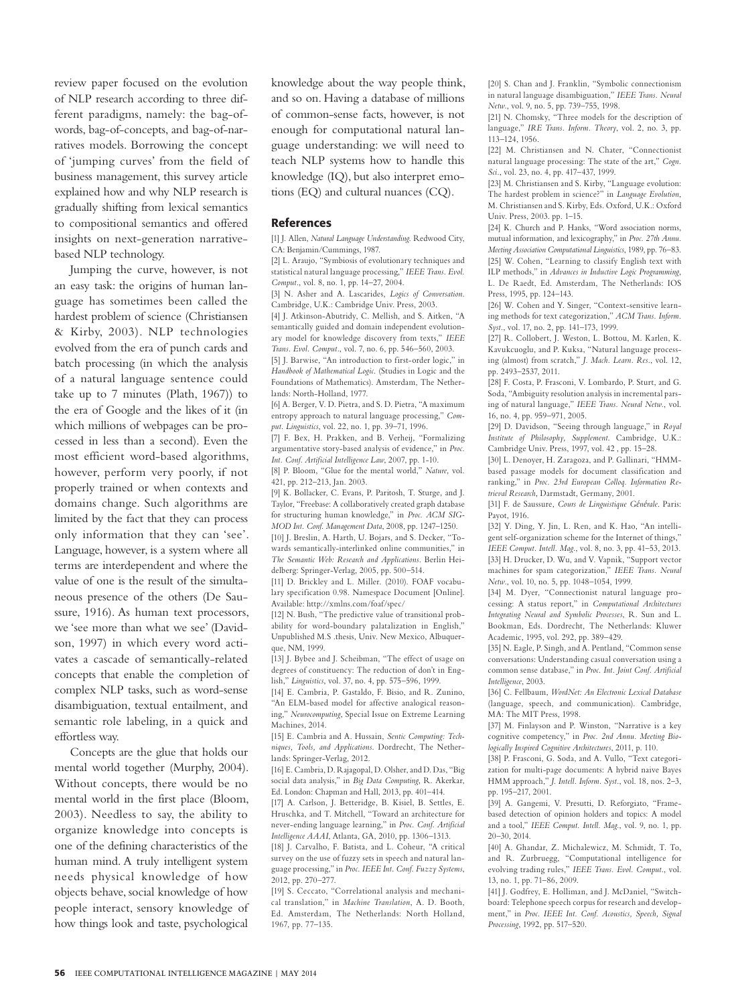review paper focused on the evolution of NLP research according to three different paradigms, namely: the bag-ofwords, bag-of-concepts, and bag-of-narratives models. Borrowing the concept of 'jumping curves' from the field of business management, this survey article explained how and why NLP research is gradually shifting from lexical semantics to compositional semantics and offered insights on next-generation narrativebased NLP technology.

Jumping the curve, however, is not an easy task: the origins of human language has sometimes been called the hardest problem of science (Christiansen & Kirby, 2003). NLP technologies evolved from the era of punch cards and batch processing (in which the analysis of a natural language sentence could take up to 7 minutes (Plath, 1967)) to the era of Google and the likes of it (in which millions of webpages can be processed in less than a second). Even the most efficient word-based algorithms, however, perform very poorly, if not properly trained or when contexts and domains change. Such algorithms are limited by the fact that they can process only information that they can 'see'. Language, however, is a system where all terms are interdependent and where the value of one is the result of the simultaneous presence of the others (De Saussure, 1916). As human text processors, we 'see more than what we see' (Davidson, 1997) in which every word activates a cascade of semantically-related concepts that enable the completion of complex NLP tasks, such as word-sense disambiguation, textual entailment, and semantic role labeling, in a quick and effortless way.

Concepts are the glue that holds our mental world together (Murphy, 2004). Without concepts, there would be no mental world in the first place (Bloom, 2003). Needless to say, the ability to organize knowledge into concepts is one of the defining characteristics of the human mind. A truly intelligent system needs physical knowledge of how objects behave, social knowledge of how people interact, sensory knowledge of how things look and taste, psychological knowledge about the way people think, and so on. Having a database of millions of common-sense facts, however, is not enough for computational natural language understanding: we will need to teach NLP systems how to handle this knowledge (IQ), but also interpret emotions (EQ) and cultural nuances (CQ).

#### References

[1] J. Allen, *Natural Language Understanding*. Redwood City, CA: Benjamin/Cummings, 1987.

[2] L. Araujo, "Symbiosis of evolutionary techniques and statistical natural language processing," *IEEE Trans. Evol. Comput.*, vol. 8, no. 1, pp. 14–27, 2004.

[3] N. Asher and A. Lascarides, *Logics of Conversation*. Cambridge, U.K.: Cambridge Univ. Press, 2003.

[4] J. Atkinson-Abutridy, C. Mellish, and S. Aitken, "A semantically guided and domain independent evolutionary model for knowledge discovery from texts," *IEEE Trans. Evol. Comput.*, vol. 7, no. 6, pp. 546–560, 2003. [5] J. Barwise, "An introduction to first-order logic," in

*Handbook of Mathematical Logic*. (Studies in Logic and the Foundations of Mathematics). Amsterdam, The Netherlands: North-Holland, 1977.

[6] A. Berger, V. D. Pietra, and S. D. Pietra, "A maximum entropy approach to natural language processing," *Comput. Linguistics*, vol. 22, no. 1, pp. 39–71, 1996.

[7] F. Bex, H. Prakken, and B. Verheij, "Formalizing argumentative story-based analysis of evidence," in *Proc. Int. Conf. Artificial Intelligence Law*, 2007, pp. 1-10.

[8] P. Bloom, "Glue for the mental world," *Nature*, vol. 421, pp. 212–213, Jan. 2003.

[9] K. Bollacker, C. Evans, P. Paritosh, T. Sturge, and J. Taylor, "Freebase: A collaboratively created graph database for structuring human knowledge," in *Proc. ACM SIG-MOD Int. Conf. Management Data*, 2008, pp. 1247–1250.

[10] J. Breslin, A. Harth, U. Bojars, and S. Decker, "Towards semantically-interlinked online communities," in *The Semantic Web: Research and Applications*. Berlin Heidelberg: Springer-Verlag, 2005, pp. 500–514.

[11] D. Brickley and L. Miller. (2010). FOAF vocabulary specification 0.98. Namespace Document [Online]. Available: http://xmlns.com/foaf/spec/

[12] N. Bush, "The predictive value of transitional probability for word-boundary palatalization in English," Unpublished M.S .thesis, Univ. New Mexico, Albuquerque, NM, 1999.

[13] J. Bybee and J. Scheibman, "The effect of usage on degrees of constituency: The reduction of don't in English," *Linguistics*, vol. 37, no. 4, pp. 575–596, 1999.

[14] E. Cambria, P. Gastaldo, F. Bisio, and R. Zunino, "An ELM-based model for affective analogical reasoning," *Neurocomputing*, Special Issue on Extreme Learning Machines, 2014.

[15] E. Cambria and A. Hussain, *Sentic Computing: Techniques, Tools, and Applications*. Dordrecht, The Netherlands: Springer-Verlag, 2012.

[16] E. Cambria, D. Rajagopal, D. Olsher, and D. Das, "Big social data analysis," in *Big Data Computing*, R. Akerkar, Ed. London: Chapman and Hall, 2013, pp. 401–414.

[17] A. Carlson, J. Betteridge, B. Kisiel, B. Settles, E. Hruschka, and T. Mitchell, "Toward an architecture for never-ending language learning," in *Proc. Conf. Artificial Intelligence AAAI*, Atlanta, GA, 2010, pp. 1306–1313.

[18] J. Carvalho, F. Batista, and L. Coheur, "A critical survey on the use of fuzzy sets in speech and natural language processing," in *Proc. IEEE Int. Conf. Fuzzy Systems*, 2012, pp. 270–277.

[19] S. Ceccato, "Correlational analysis and mechanical translation," in *Machine Translation*, A. D. Booth, Ed. Amsterdam, The Netherlands: North Holland, 1967, pp. 77–135.

[20] S. Chan and J. Franklin, "Symbolic connectionism in natural language disambiguation," *IEEE Trans. Neural Netw.*, vol. 9, no. 5, pp. 739–755, 1998.

[21] N. Chomsky, "Three models for the description of language," *IRE Trans. Inform. Theory*, vol. 2, no. 3, pp. 113–124, 1956.

[22] M. Christiansen and N. Chater, "Connectionist natural language processing: The state of the art," *Cogn. Sci.*, vol. 23, no. 4, pp. 417–437, 1999.

[23] M. Christiansen and S. Kirby, "Language evolution: The hardest problem in science?" in *Language Evolution*, M. Christiansen and S. Kirby, Eds. Oxford, U.K.: Oxford Univ. Press, 2003. pp. 1–15.

[24] K. Church and P. Hanks, "Word association norms, mutual information, and lexicography," in *Proc. 27th Annu. Meeting Association Computational Linguistics*, 1989, pp. 76–83. [25] W. Cohen, "Learning to classify English text with ILP methods," in *Advances in Inductive Logic Programming*, L. De Raedt, Ed. Amsterdam, The Netherlands: IOS Press, 1995, pp. 124–143.

[26] W. Cohen and Y. Singer, "Context-sensitive learning methods for text categorization," *ACM Trans. Inform. Syst.*, vol. 17, no. 2, pp. 141–173, 1999.

[27] R. Collobert, J. Weston, L. Bottou, M. Karlen, K. Kavukcuoglu, and P. Kuksa, "Natural language processing (almost) from scratch," *J. Mach. Learn. Res.*, vol. 12, pp. 2493–2537, 2011.

[28] F. Costa, P. Frasconi, V. Lombardo, P. Sturt, and G. Soda, "Ambiguity resolution analysis in incremental parsing of natural language," *IEEE Trans. Neural Netw.*, vol. 16, no. 4, pp. 959–971, 2005.

[29] D. Davidson, "Seeing through language," in *Royal Institute of Philosophy, Supplement*. Cambridge, U.K.: Cambridge Univ. Press, 1997, vol. 42 , pp. 15–28.

[30] L. Denoyer, H. Zaragoza, and P. Gallinari, "HMMbased passage models for document classification and ranking," in *Proc. 23rd European Colloq. Information Retrieval Research*, Darmstadt, Germany, 2001.

[31] F. de Saussure, *Cours de Linguistique Générale*. Paris: Payot, 1916.

[32] Y. Ding, Y. Jin, L. Ren, and K. Hao, "An intelligent self-organization scheme for the Internet of things," *IEEE Comput. Intell. Mag.*, vol. 8, no. 3, pp. 41–53, 2013. [33] H. Drucker, D. Wu, and V. Vapnik, "Support vector machines for spam categorization," *IEEE Trans. Neural Netw.*, vol. 10, no. 5, pp. 1048–1054, 1999.

[34] M. Dyer, "Connectionist natural language processing: A status report," in *Computational Architectures Integrating Neural and Symbolic Processes*, R. Sun and L. Bookman, Eds. Dordrecht, The Netherlands: Kluwer Academic, 1995, vol. 292, pp. 389–429.

[35] N. Eagle, P. Singh, and A. Pentland, "Common sense conversations: Understanding casual conversation using a common sense database," in *Proc. Int. Joint Conf. Artificial Intelligence*, 2003.

[36] C. Fellbaum, *WordNet: An Electronic Lexical Database* (language, speech, and communication). Cambridge, MA: The MIT Press, 1998.

[37] M. Finlayson and P. Winston, "Narrative is a key cognitive competency," in *Proc. 2nd Annu. Meeting Biologically Inspired Cognitive Architectures*, 2011, p. 110.

[38] P. Frasconi, G. Soda, and A. Vullo, "Text categorization for multi-page documents: A hybrid naive Bayes HMM approach," *J. Intell. Inform. Syst.*, vol. 18, nos. 2–3, pp. 195–217, 2001.

[39] A. Gangemi, V. Presutti, D. Reforgiato, "Framebased detection of opinion holders and topics: A model and a tool," *IEEE Comput. Intell. Mag.*, vol. 9, no. 1, pp. 20–30, 2014.

[40] A. Ghandar, Z. Michalewicz, M. Schmidt, T. To, and R. Zurbruegg, "Computational intelligence for evolving trading rules," *IEEE Trans. Evol. Comput.*, vol. 13, no. 1, pp. 71–86, 2009.

[41] J. Godfrey, E. Holliman, and J. McDaniel, "Switchboard: Telephone speech corpus for research and development," in *Proc. IEEE Int. Conf. Acoustics, Speech, Signal Processing*, 1992, pp. 517–520.